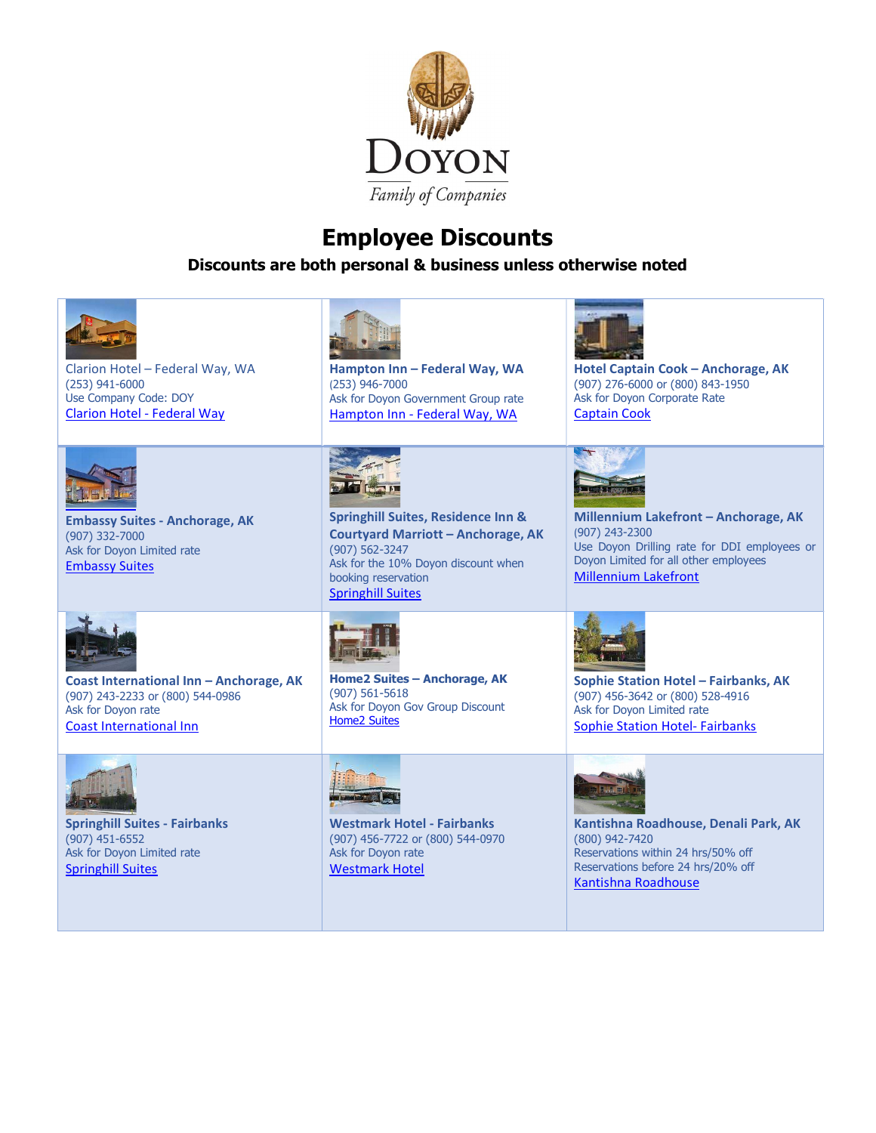

## Employee Discounts

Discounts are both personal & business unless otherwise noted

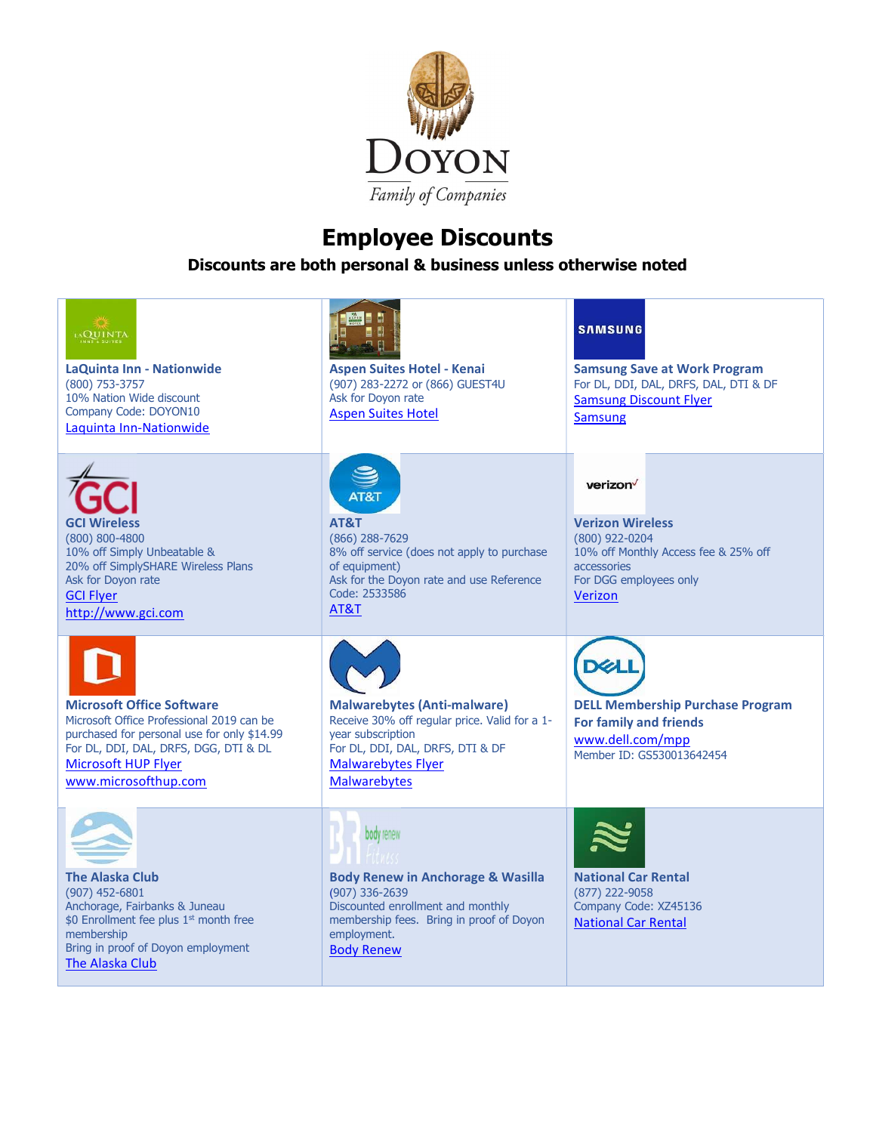

## Employee Discounts

Discounts are both personal & business unless otherwise noted